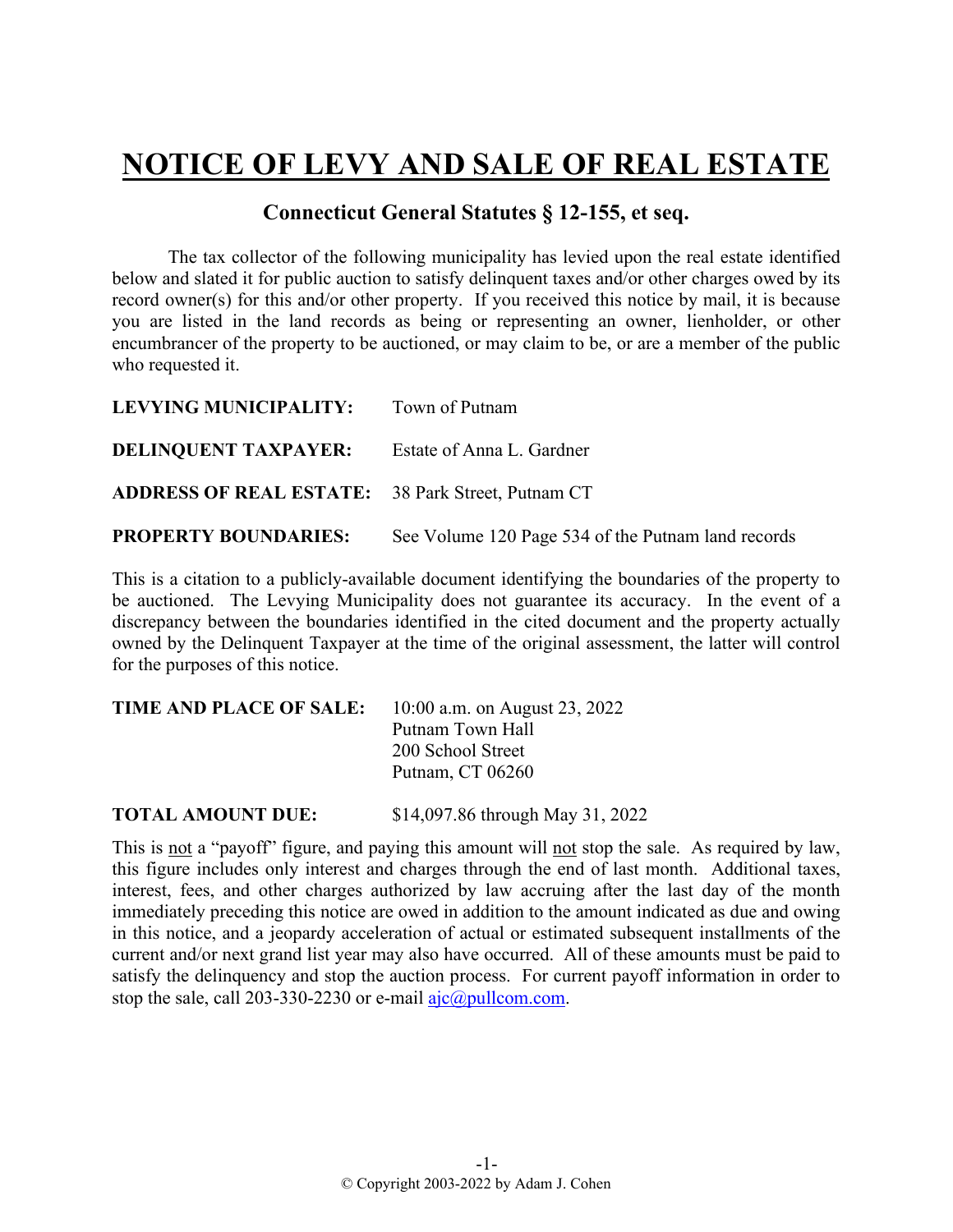## **NOTICE OF LEVY AND SALE OF REAL ESTATE**

## **Connecticut General Statutes § 12-155, et seq.**

The tax collector of the following municipality has levied upon the real estate identified below and slated it for public auction to satisfy delinquent taxes and/or other charges owed by its record owner(s) for this and/or other property. If you received this notice by mail, it is because you are listed in the land records as being or representing an owner, lienholder, or other encumbrancer of the property to be auctioned, or may claim to be, or are a member of the public who requested it.

| LEVYING MUNICIPALITY: Town of Putnam                     |                                                    |
|----------------------------------------------------------|----------------------------------------------------|
| <b>DELINQUENT TAXPAYER:</b> Estate of Anna L. Gardner    |                                                    |
| <b>ADDRESS OF REAL ESTATE:</b> 38 Park Street, Putnam CT |                                                    |
| <b>PROPERTY BOUNDARIES:</b>                              | See Volume 120 Page 534 of the Putnam land records |

This is a citation to a publicly-available document identifying the boundaries of the property to be auctioned. The Levying Municipality does not guarantee its accuracy. In the event of a discrepancy between the boundaries identified in the cited document and the property actually owned by the Delinquent Taxpayer at the time of the original assessment, the latter will control for the purposes of this notice.

| TIME AND PLACE OF SALE: | 10:00 a.m. on August 23, 2022 |
|-------------------------|-------------------------------|
|                         | Putnam Town Hall              |
|                         | 200 School Street             |
|                         | Putnam, CT 06260              |
|                         |                               |

**TOTAL AMOUNT DUE:** \$14,097.86 through May 31, 2022

This is not a "payoff" figure, and paying this amount will not stop the sale. As required by law, this figure includes only interest and charges through the end of last month. Additional taxes, interest, fees, and other charges authorized by law accruing after the last day of the month immediately preceding this notice are owed in addition to the amount indicated as due and owing in this notice, and a jeopardy acceleration of actual or estimated subsequent installments of the current and/or next grand list year may also have occurred. All of these amounts must be paid to satisfy the delinquency and stop the auction process. For current payoff information in order to stop the sale, call 203-330-2230 or e-mail  $a$ jc $@p$ ullcom.com.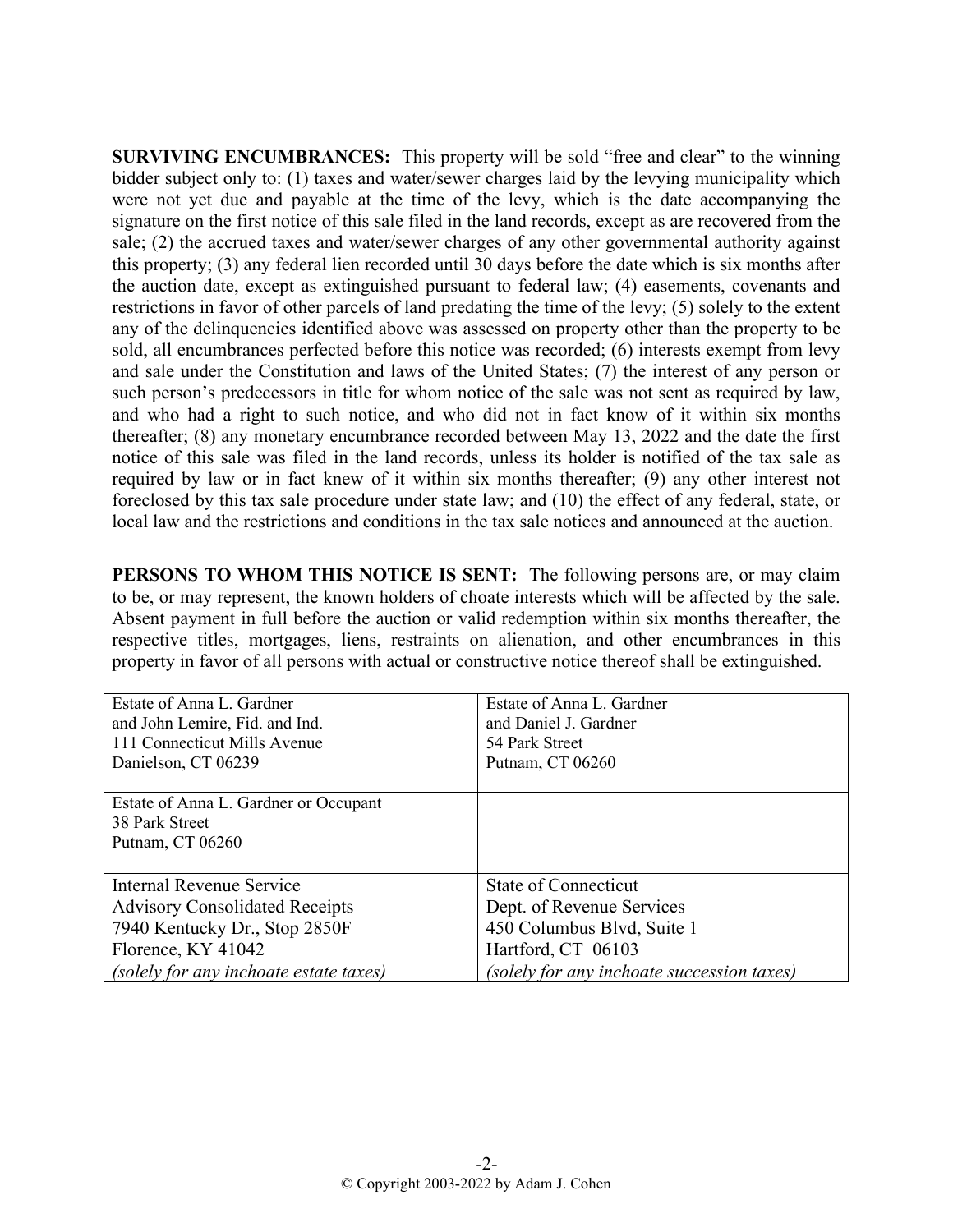**SURVIVING ENCUMBRANCES:** This property will be sold "free and clear" to the winning bidder subject only to: (1) taxes and water/sewer charges laid by the levying municipality which were not yet due and payable at the time of the levy, which is the date accompanying the signature on the first notice of this sale filed in the land records, except as are recovered from the sale; (2) the accrued taxes and water/sewer charges of any other governmental authority against this property; (3) any federal lien recorded until 30 days before the date which is six months after the auction date, except as extinguished pursuant to federal law; (4) easements, covenants and restrictions in favor of other parcels of land predating the time of the levy; (5) solely to the extent any of the delinquencies identified above was assessed on property other than the property to be sold, all encumbrances perfected before this notice was recorded; (6) interests exempt from levy and sale under the Constitution and laws of the United States; (7) the interest of any person or such person's predecessors in title for whom notice of the sale was not sent as required by law, and who had a right to such notice, and who did not in fact know of it within six months thereafter; (8) any monetary encumbrance recorded between May 13, 2022 and the date the first notice of this sale was filed in the land records, unless its holder is notified of the tax sale as required by law or in fact knew of it within six months thereafter; (9) any other interest not foreclosed by this tax sale procedure under state law; and (10) the effect of any federal, state, or local law and the restrictions and conditions in the tax sale notices and announced at the auction.

**PERSONS TO WHOM THIS NOTICE IS SENT:** The following persons are, or may claim to be, or may represent, the known holders of choate interests which will be affected by the sale. Absent payment in full before the auction or valid redemption within six months thereafter, the respective titles, mortgages, liens, restraints on alienation, and other encumbrances in this property in favor of all persons with actual or constructive notice thereof shall be extinguished.

| Estate of Anna L. Gardner              | Estate of Anna L. Gardner                  |
|----------------------------------------|--------------------------------------------|
| and John Lemire, Fid. and Ind.         | and Daniel J. Gardner                      |
| 111 Connecticut Mills Avenue           | 54 Park Street                             |
| Danielson, CT 06239                    | Putnam, CT 06260                           |
|                                        |                                            |
| Estate of Anna L. Gardner or Occupant  |                                            |
| 38 Park Street                         |                                            |
| Putnam, CT 06260                       |                                            |
|                                        |                                            |
| Internal Revenue Service               | <b>State of Connecticut</b>                |
| <b>Advisory Consolidated Receipts</b>  | Dept. of Revenue Services                  |
| 7940 Kentucky Dr., Stop 2850F          | 450 Columbus Blvd, Suite 1                 |
| Florence, KY 41042                     | Hartford, CT 06103                         |
| (solely for any inchoate estate taxes) | (solely for any inchoate succession taxes) |